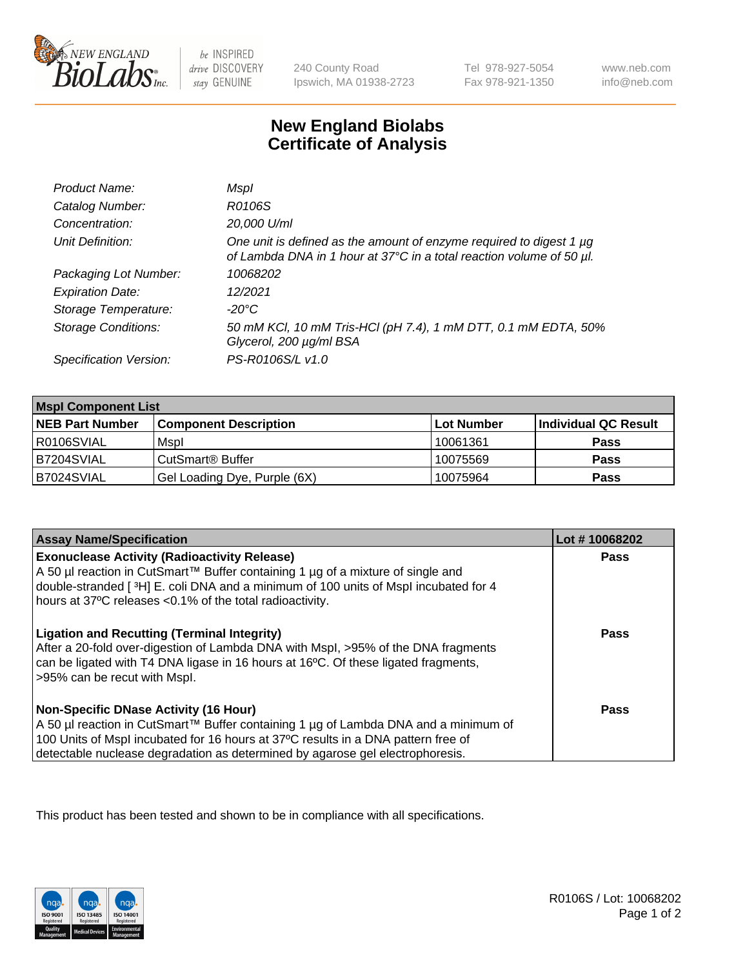

 $be$  INSPIRED drive DISCOVERY stay GENUINE

240 County Road Ipswich, MA 01938-2723 Tel 978-927-5054 Fax 978-921-1350

www.neb.com info@neb.com

## **New England Biolabs Certificate of Analysis**

| Product Name:              | Mspl                                                                                                                                        |
|----------------------------|---------------------------------------------------------------------------------------------------------------------------------------------|
| Catalog Number:            | R0106S                                                                                                                                      |
| Concentration:             | 20,000 U/ml                                                                                                                                 |
| Unit Definition:           | One unit is defined as the amount of enzyme required to digest 1 µg<br>of Lambda DNA in 1 hour at 37°C in a total reaction volume of 50 µl. |
| Packaging Lot Number:      | 10068202                                                                                                                                    |
| <b>Expiration Date:</b>    | 12/2021                                                                                                                                     |
| Storage Temperature:       | -20°C                                                                                                                                       |
| <b>Storage Conditions:</b> | 50 mM KCl, 10 mM Tris-HCl (pH 7.4), 1 mM DTT, 0.1 mM EDTA, 50%<br>Glycerol, 200 µg/ml BSA                                                   |
| Specification Version:     | PS-R0106S/L v1.0                                                                                                                            |

| <b>Mspl Component List</b> |                              |            |                      |  |  |
|----------------------------|------------------------------|------------|----------------------|--|--|
| <b>NEB Part Number</b>     | <b>Component Description</b> | Lot Number | Individual QC Result |  |  |
| R0106SVIAL                 | Mspl                         | 10061361   | <b>Pass</b>          |  |  |
| IB7204SVIAL                | CutSmart <sup>®</sup> Buffer | 10075569   | <b>Pass</b>          |  |  |
| B7024SVIAL                 | Gel Loading Dye, Purple (6X) | 10075964   | <b>Pass</b>          |  |  |

| <b>Assay Name/Specification</b>                                                                                                                                                                                                                                                                             | Lot #10068202 |
|-------------------------------------------------------------------------------------------------------------------------------------------------------------------------------------------------------------------------------------------------------------------------------------------------------------|---------------|
| <b>Exonuclease Activity (Radioactivity Release)</b><br>A 50 µl reaction in CutSmart™ Buffer containing 1 µg of a mixture of single and<br>double-stranded [3H] E. coli DNA and a minimum of 100 units of Mspl incubated for 4<br>hours at 37°C releases <0.1% of the total radioactivity.                   | Pass          |
| <b>Ligation and Recutting (Terminal Integrity)</b><br>After a 20-fold over-digestion of Lambda DNA with Mspl, >95% of the DNA fragments<br>can be ligated with T4 DNA ligase in 16 hours at 16 <sup>o</sup> C. Of these ligated fragments,<br>>95% can be recut with Mspl.                                  | Pass          |
| <b>Non-Specific DNase Activity (16 Hour)</b><br>  A 50 µl reaction in CutSmart™ Buffer containing 1 µg of Lambda DNA and a minimum of<br>100 Units of Mspl incubated for 16 hours at 37°C results in a DNA pattern free of<br>detectable nuclease degradation as determined by agarose gel electrophoresis. | Pass          |

This product has been tested and shown to be in compliance with all specifications.